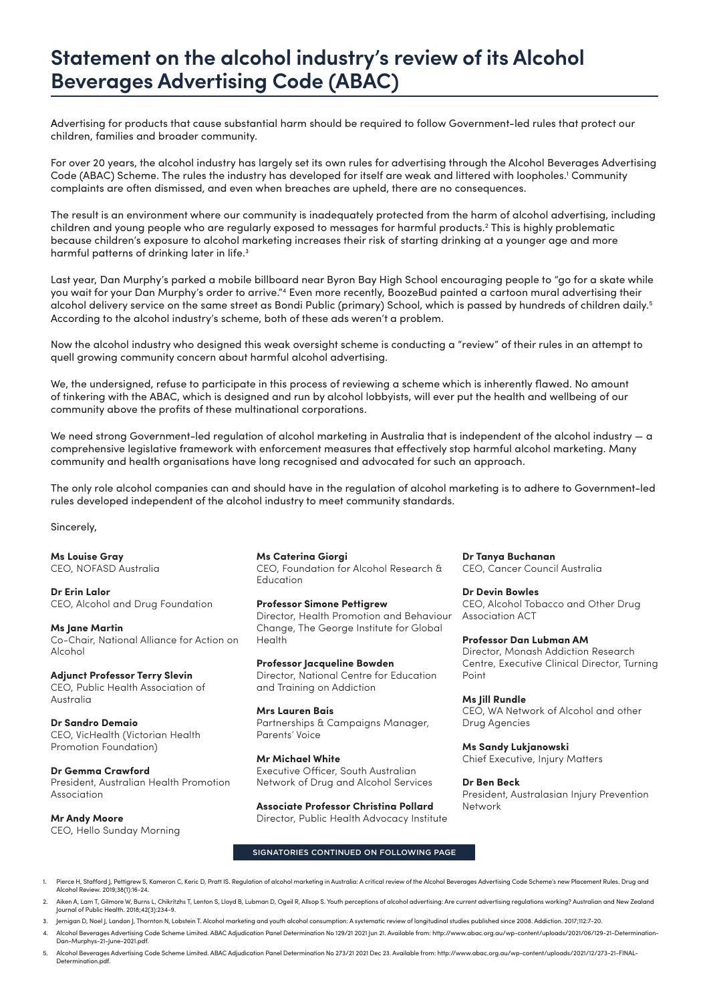# **Statement on the alcohol industry's review of its Alcohol Beverages Advertising Code (ABAC)**

Advertising for products that cause substantial harm should be required to follow Government-led rules that protect our children, families and broader community.

For over 20 years, the alcohol industry has largely set its own rules for advertising through the Alcohol Beverages Advertising Code (ABAC) Scheme. The rules the industry has developed for itself are weak and littered with loopholes.<sup>1</sup> Community complaints are often dismissed, and even when breaches are upheld, there are no consequences.

The result is an environment where our community is inadequately protected from the harm of alcohol advertising, including children and young people who are regularly exposed to messages for harmful products.2 This is highly problematic because children's exposure to alcohol marketing increases their risk of starting drinking at a younger age and more harmful patterns of drinking later in life.<sup>3</sup>

Last year, Dan Murphy's parked a mobile billboard near Byron Bay High School encouraging people to "go for a skate while you wait for your Dan Murphy's order to arrive."4 Even more recently, BoozeBud painted a cartoon mural advertising their alcohol delivery service on the same street as Bondi Public (primary) School, which is passed by hundreds of children daily.5 According to the alcohol industry's scheme, both of these ads weren't a problem.

Now the alcohol industry who designed this weak oversight scheme is conducting a "review" of their rules in an attempt to quell growing community concern about harmful alcohol advertising.

We, the undersigned, refuse to participate in this process of reviewing a scheme which is inherently flawed. No amount of tinkering with the ABAC, which is designed and run by alcohol lobbyists, will ever put the health and wellbeing of our community above the profits of these multinational corporations.

We need strong Government-led regulation of alcohol marketing in Australia that is independent of the alcohol industry — a comprehensive legislative framework with enforcement measures that effectively stop harmful alcohol marketing. Many community and health organisations have long recognised and advocated for such an approach.

The only role alcohol companies can and should have in the regulation of alcohol marketing is to adhere to Government-led rules developed independent of the alcohol industry to meet community standards.

Sincerely,

**Ms Louise Gray**  CEO, NOFASD Australia

**Dr Erin Lalor**

CEO, Alcohol and Drug Foundation

**Ms Jane Martin** Co-Chair, National Alliance for Action on Alcohol

## **Adjunct Professor Terry Slevin**

CEO, Public Health Association of Australia

**Dr Sandro Demaio** CEO, VicHealth (Victorian Health Promotion Foundation)

**Dr Gemma Crawford**

President, Australian Health Promotion Association

**Mr Andy Moore** CEO, Hello Sunday Morning **Ms Caterina Giorgi**

CEO, Foundation for Alcohol Research & Education

**Professor Simone Pettigrew** Director, Health Promotion and Behaviour Change, The George Institute for Global Health

**Professor Jacqueline Bowden** Director, National Centre for Education and Training on Addiction

**Mrs Lauren Bais** Partnerships & Campaigns Manager, Parents' Voice

**Mr Michael White** Executive Officer, South Australian Network of Drug and Alcohol Services

**Associate Professor Christina Pollard** Director, Public Health Advocacy Institute **Dr Tanya Buchanan** CEO, Cancer Council Australia

**Dr Devin Bowles** CEO, Alcohol Tobacco and Other Drug Association ACT

**Professor Dan Lubman AM** Director, Monash Addiction Research Centre, Executive Clinical Director, Turning Point

**Ms Jill Rundle** CEO, WA Network of Alcohol and other Drug Agencies

**Ms Sandy Lukjanowski** Chief Executive, Injury Matters

**Dr Ben Beck** President, Australasian Injury Prevention Network

#### SIGNATORIES CONTINUED ON FOLLOWING PAGE

Pierce H, Stafford J, Pettigrew S, Kameron C, Keric D, Pratt IS. Regulation of alcohol marketing in Australia: A critical review of the Alcohol Beverages Advertising Code Scheme's new Placement Rules. Drug and Alcohol Review. 2019;38(1):16-24.

- 2. Aiken A, Lam T, Gilmore W, Burns L, Chikritzhs T, Lenton S, Lloyd B, Lubman D, Ogeil R, Allsop S. Youth perceptions of alcohol advertising: Are current advertising regulations working? Australian and New Zealand Journal of Public Health. 2018;42(3):234-9.
- 3. Jernigan D, Noel J, Landon J, Thornton N, Lobstein T. Alcohol marketing and youth alcohol consumption: A systematic review of longitudinal studies published since 2008. Addiction. 2017;112:7-20.
- 4. Alcohol Beverages Advertising Code Scheme Limited. ABAC Adjudication Panel Determination No 129/21 2021 Jun 21. Available from: http://www.abac.org.au/wp-content/uploads/2021/06/129-21-Determination-Dan-Murphys-21-June-2021.pdf
- 5. Alcohol Beverages Advertising Code Scheme Limited. ABAC Adjudication Panel Determination No 273/21 2021 Dec 23. Available from: http://www.abac.org.au/wp-content/uploads/2021/12/273-21-FINAL-Determination.pdf.